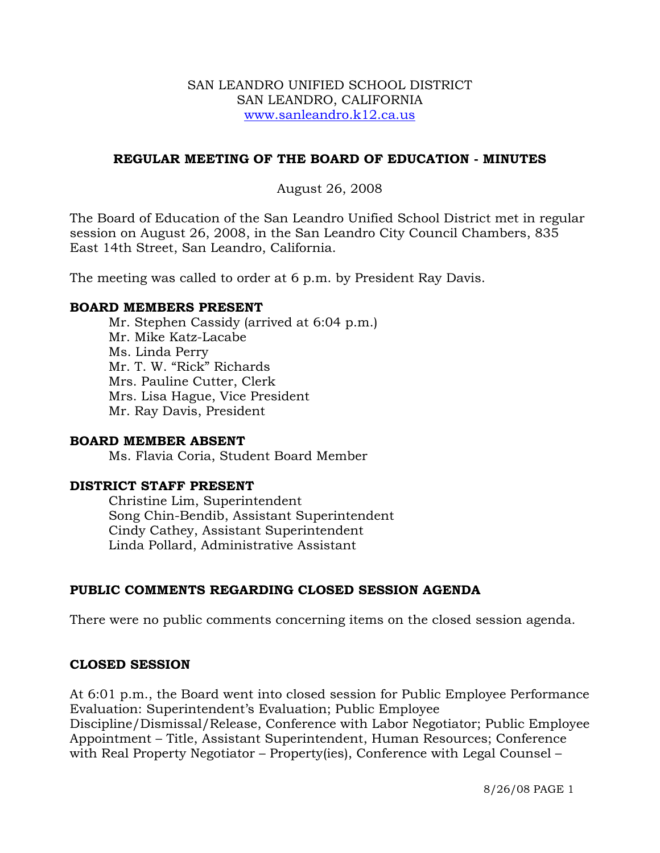## SAN LEANDRO UNIFIED SCHOOL DISTRICT SAN LEANDRO, CALIFORNIA www.sanleandro.k12.ca.us

## **REGULAR MEETING OF THE BOARD OF EDUCATION - MINUTES**

## August 26, 2008

The Board of Education of the San Leandro Unified School District met in regular session on August 26, 2008, in the San Leandro City Council Chambers, 835 East 14th Street, San Leandro, California.

The meeting was called to order at 6 p.m. by President Ray Davis.

## **BOARD MEMBERS PRESENT**

Mr. Stephen Cassidy (arrived at 6:04 p.m.) Mr. Mike Katz-Lacabe Ms. Linda Perry Mr. T. W. "Rick" Richards Mrs. Pauline Cutter, Clerk Mrs. Lisa Hague, Vice President Mr. Ray Davis, President

## **BOARD MEMBER ABSENT**

Ms. Flavia Coria, Student Board Member

# **DISTRICT STAFF PRESENT**

Christine Lim, Superintendent Song Chin-Bendib, Assistant Superintendent Cindy Cathey, Assistant Superintendent Linda Pollard, Administrative Assistant

# **PUBLIC COMMENTS REGARDING CLOSED SESSION AGENDA**

There were no public comments concerning items on the closed session agenda.

## **CLOSED SESSION**

At 6:01 p.m., the Board went into closed session for Public Employee Performance Evaluation: Superintendent's Evaluation; Public Employee Discipline/Dismissal/Release, Conference with Labor Negotiator; Public Employee Appointment – Title, Assistant Superintendent, Human Resources; Conference

with Real Property Negotiator – Property(ies), Conference with Legal Counsel –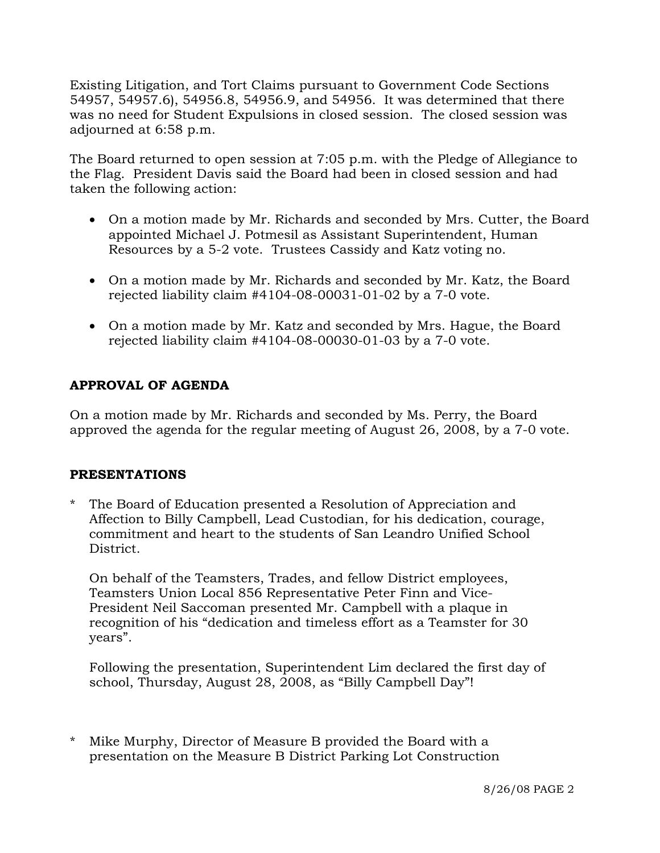Existing Litigation, and Tort Claims pursuant to Government Code Sections 54957, 54957.6), 54956.8, 54956.9, and 54956. It was determined that there was no need for Student Expulsions in closed session. The closed session was adjourned at 6:58 p.m.

The Board returned to open session at 7:05 p.m. with the Pledge of Allegiance to the Flag. President Davis said the Board had been in closed session and had taken the following action:

- On a motion made by Mr. Richards and seconded by Mrs. Cutter, the Board appointed Michael J. Potmesil as Assistant Superintendent, Human Resources by a 5-2 vote. Trustees Cassidy and Katz voting no.
- On a motion made by Mr. Richards and seconded by Mr. Katz, the Board rejected liability claim #4104-08-00031-01-02 by a 7-0 vote.
- On a motion made by Mr. Katz and seconded by Mrs. Hague, the Board rejected liability claim #4104-08-00030-01-03 by a 7-0 vote.

# **APPROVAL OF AGENDA**

On a motion made by Mr. Richards and seconded by Ms. Perry, the Board approved the agenda for the regular meeting of August 26, 2008, by a 7-0 vote.

# **PRESENTATIONS**

The Board of Education presented a Resolution of Appreciation and Affection to Billy Campbell, Lead Custodian, for his dedication, courage, commitment and heart to the students of San Leandro Unified School District.

 On behalf of the Teamsters, Trades, and fellow District employees, Teamsters Union Local 856 Representative Peter Finn and Vice- President Neil Saccoman presented Mr. Campbell with a plaque in recognition of his "dedication and timeless effort as a Teamster for 30 years".

 Following the presentation, Superintendent Lim declared the first day of school, Thursday, August 28, 2008, as "Billy Campbell Day"!

\* Mike Murphy, Director of Measure B provided the Board with a presentation on the Measure B District Parking Lot Construction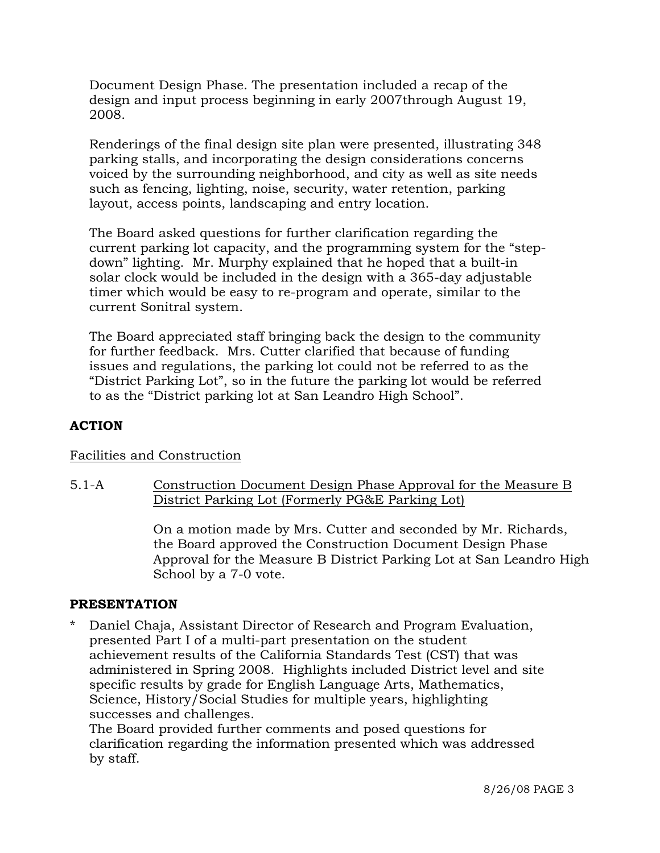Document Design Phase. The presentation included a recap of the design and input process beginning in early 2007through August 19, 2008.

 Renderings of the final design site plan were presented, illustrating 348 parking stalls, and incorporating the design considerations concerns voiced by the surrounding neighborhood, and city as well as site needs such as fencing, lighting, noise, security, water retention, parking layout, access points, landscaping and entry location.

 The Board asked questions for further clarification regarding the current parking lot capacity, and the programming system for the "stepdown" lighting. Mr. Murphy explained that he hoped that a built-in solar clock would be included in the design with a 365-day adjustable timer which would be easy to re-program and operate, similar to the current Sonitral system.

 The Board appreciated staff bringing back the design to the community for further feedback. Mrs. Cutter clarified that because of funding issues and regulations, the parking lot could not be referred to as the "District Parking Lot", so in the future the parking lot would be referred to as the "District parking lot at San Leandro High School".

## **ACTION**

## Facilities and Construction

5.1-A Construction Document Design Phase Approval for the Measure B District Parking Lot (Formerly PG&E Parking Lot)

> On a motion made by Mrs. Cutter and seconded by Mr. Richards, the Board approved the Construction Document Design Phase Approval for the Measure B District Parking Lot at San Leandro High School by a 7-0 vote.

## **PRESENTATION**

Daniel Chaja, Assistant Director of Research and Program Evaluation, presented Part I of a multi-part presentation on the student achievement results of the California Standards Test (CST) that was administered in Spring 2008. Highlights included District level and site specific results by grade for English Language Arts, Mathematics, Science, History/Social Studies for multiple years, highlighting successes and challenges.

 The Board provided further comments and posed questions for clarification regarding the information presented which was addressed by staff.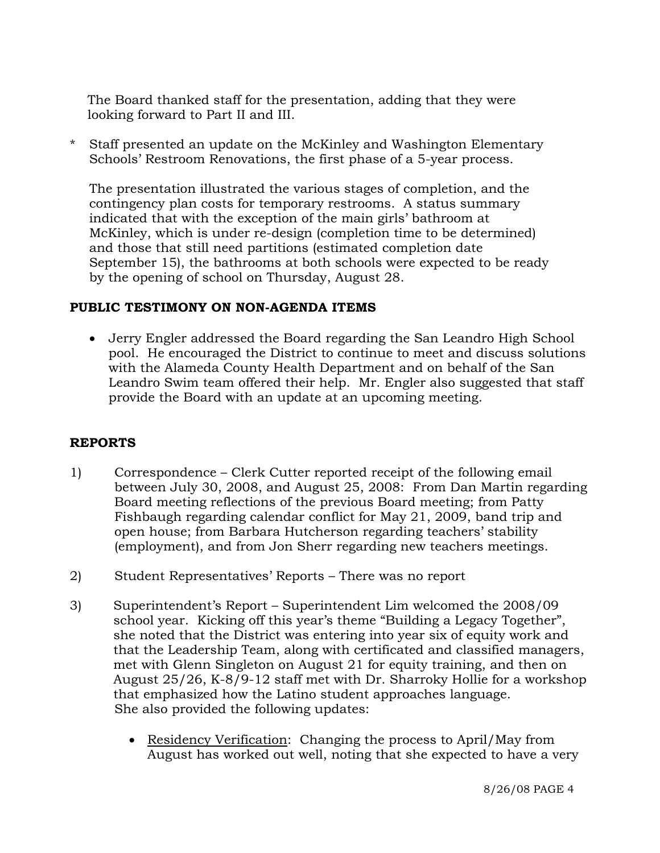The Board thanked staff for the presentation, adding that they were looking forward to Part II and III.

\* Staff presented an update on the McKinley and Washington Elementary Schools' Restroom Renovations, the first phase of a 5-year process.

 The presentation illustrated the various stages of completion, and the contingency plan costs for temporary restrooms. A status summary indicated that with the exception of the main girls' bathroom at McKinley, which is under re-design (completion time to be determined) and those that still need partitions (estimated completion date September 15), the bathrooms at both schools were expected to be ready by the opening of school on Thursday, August 28.

## **PUBLIC TESTIMONY ON NON-AGENDA ITEMS**

• Jerry Engler addressed the Board regarding the San Leandro High School pool. He encouraged the District to continue to meet and discuss solutions with the Alameda County Health Department and on behalf of the San Leandro Swim team offered their help. Mr. Engler also suggested that staff provide the Board with an update at an upcoming meeting.

## **REPORTS**

- 1) Correspondence Clerk Cutter reported receipt of the following email between July 30, 2008, and August 25, 2008: From Dan Martin regarding Board meeting reflections of the previous Board meeting; from Patty Fishbaugh regarding calendar conflict for May 21, 2009, band trip and open house; from Barbara Hutcherson regarding teachers' stability (employment), and from Jon Sherr regarding new teachers meetings.
- 2) Student Representatives' Reports There was no report
- 3) Superintendent's Report Superintendent Lim welcomed the 2008/09 school year. Kicking off this year's theme "Building a Legacy Together", she noted that the District was entering into year six of equity work and that the Leadership Team, along with certificated and classified managers, met with Glenn Singleton on August 21 for equity training, and then on August 25/26, K-8/9-12 staff met with Dr. Sharroky Hollie for a workshop that emphasized how the Latino student approaches language. She also provided the following updates:
	- Residency Verification: Changing the process to April/May from August has worked out well, noting that she expected to have a very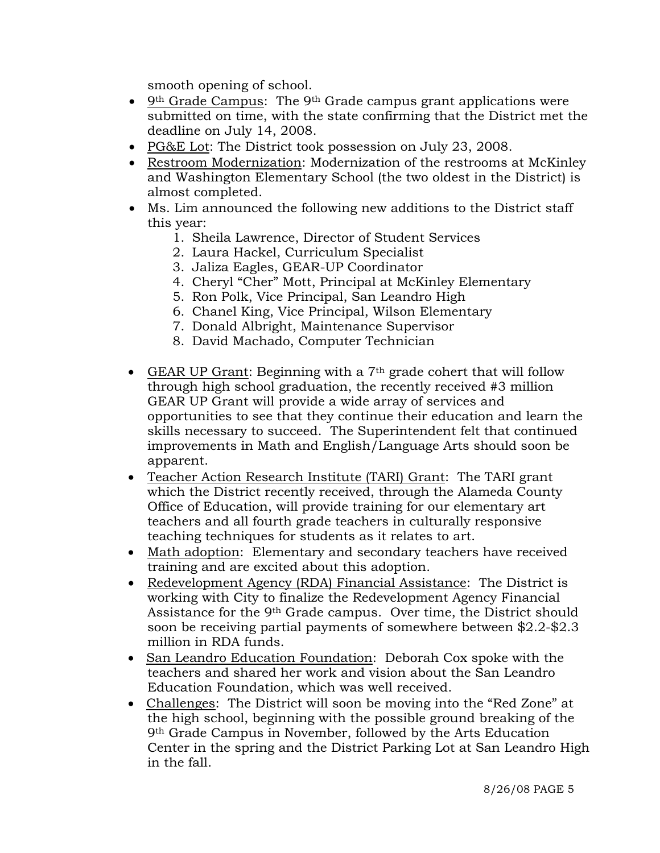smooth opening of school.

- 9th Grade Campus: The 9th Grade campus grant applications were submitted on time, with the state confirming that the District met the deadline on July 14, 2008.
- PG&E Lot: The District took possession on July 23, 2008.
- Restroom Modernization: Modernization of the restrooms at McKinley and Washington Elementary School (the two oldest in the District) is almost completed.
- Ms. Lim announced the following new additions to the District staff this year:
	- 1. Sheila Lawrence, Director of Student Services
	- 2. Laura Hackel, Curriculum Specialist
	- 3. Jaliza Eagles, GEAR-UP Coordinator
	- 4. Cheryl "Cher" Mott, Principal at McKinley Elementary
	- 5. Ron Polk, Vice Principal, San Leandro High
	- 6. Chanel King, Vice Principal, Wilson Elementary
	- 7. Donald Albright, Maintenance Supervisor
	- 8. David Machado, Computer Technician
- GEAR UP Grant: Beginning with a 7<sup>th</sup> grade cohert that will follow through high school graduation, the recently received #3 million GEAR UP Grant will provide a wide array of services and opportunities to see that they continue their education and learn the skills necessary to succeed. The Superintendent felt that continued improvements in Math and English/Language Arts should soon be apparent.
- Teacher Action Research Institute (TARI) Grant: The TARI grant which the District recently received, through the Alameda County Office of Education, will provide training for our elementary art teachers and all fourth grade teachers in culturally responsive teaching techniques for students as it relates to art.
- Math adoption: Elementary and secondary teachers have received training and are excited about this adoption.
- Redevelopment Agency (RDA) Financial Assistance: The District is working with City to finalize the Redevelopment Agency Financial Assistance for the 9th Grade campus. Over time, the District should soon be receiving partial payments of somewhere between \$2.2-\$2.3 million in RDA funds.
- San Leandro Education Foundation: Deborah Cox spoke with the teachers and shared her work and vision about the San Leandro Education Foundation, which was well received.
- Challenges: The District will soon be moving into the "Red Zone" at the high school, beginning with the possible ground breaking of the 9th Grade Campus in November, followed by the Arts Education Center in the spring and the District Parking Lot at San Leandro High in the fall.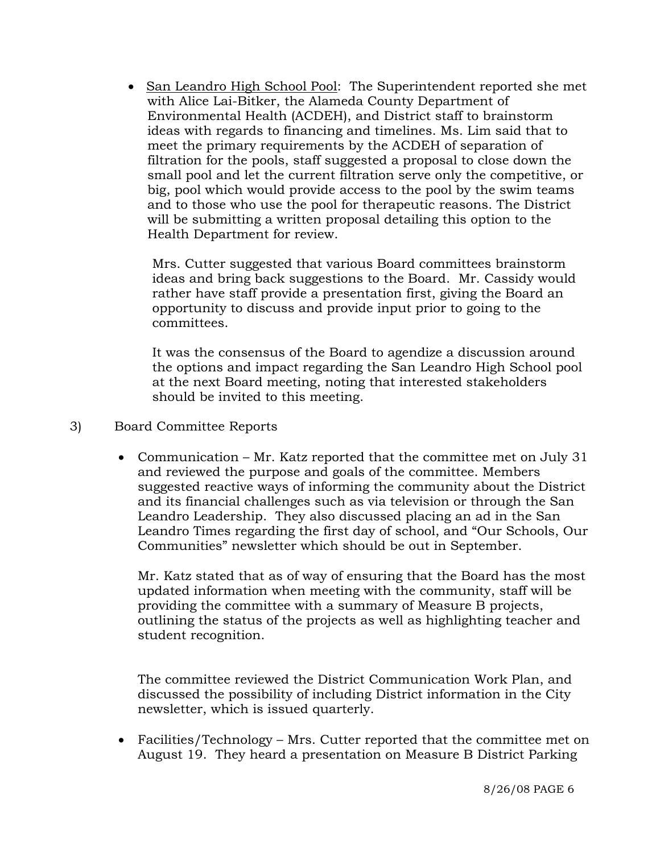• San Leandro High School Pool: The Superintendent reported she met with Alice Lai-Bitker, the Alameda County Department of Environmental Health (ACDEH), and District staff to brainstorm ideas with regards to financing and timelines. Ms. Lim said that to meet the primary requirements by the ACDEH of separation of filtration for the pools, staff suggested a proposal to close down the small pool and let the current filtration serve only the competitive, or big, pool which would provide access to the pool by the swim teams and to those who use the pool for therapeutic reasons. The District will be submitting a written proposal detailing this option to the Health Department for review.

 Mrs. Cutter suggested that various Board committees brainstorm ideas and bring back suggestions to the Board. Mr. Cassidy would rather have staff provide a presentation first, giving the Board an opportunity to discuss and provide input prior to going to the committees.

 It was the consensus of the Board to agendize a discussion around the options and impact regarding the San Leandro High School pool at the next Board meeting, noting that interested stakeholders should be invited to this meeting.

- 3) Board Committee Reports
	- Communication Mr. Katz reported that the committee met on July 31 and reviewed the purpose and goals of the committee. Members suggested reactive ways of informing the community about the District and its financial challenges such as via television or through the San Leandro Leadership. They also discussed placing an ad in the San Leandro Times regarding the first day of school, and "Our Schools, Our Communities" newsletter which should be out in September.

Mr. Katz stated that as of way of ensuring that the Board has the most updated information when meeting with the community, staff will be providing the committee with a summary of Measure B projects, outlining the status of the projects as well as highlighting teacher and student recognition.

The committee reviewed the District Communication Work Plan, and discussed the possibility of including District information in the City newsletter, which is issued quarterly.

• Facilities/Technology – Mrs. Cutter reported that the committee met on August 19. They heard a presentation on Measure B District Parking

8/26/08 PAGE 6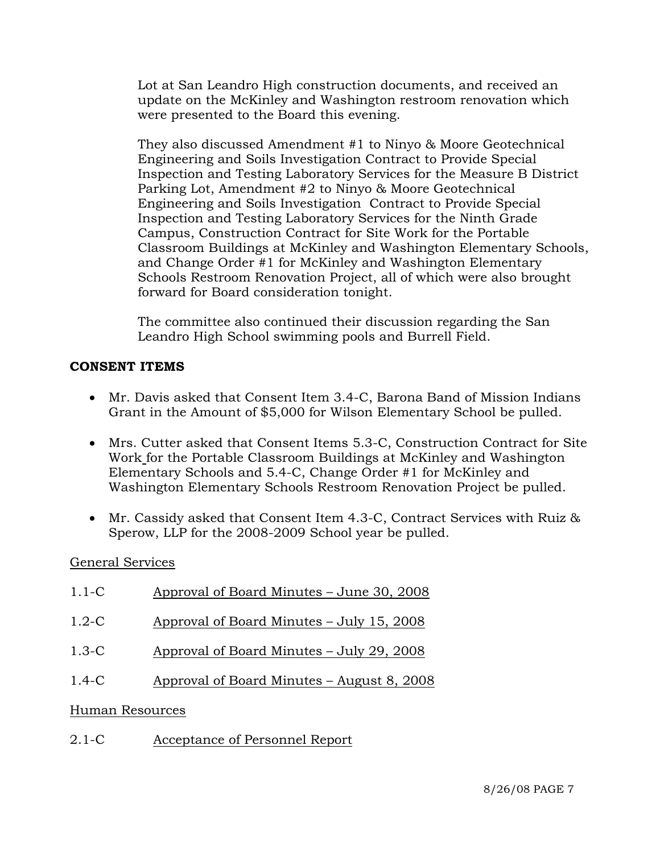Lot at San Leandro High construction documents, and received an update on the McKinley and Washington restroom renovation which were presented to the Board this evening.

 They also discussed Amendment #1 to Ninyo & Moore Geotechnical Engineering and Soils Investigation Contract to Provide Special Inspection and Testing Laboratory Services for the Measure B District Parking Lot, Amendment #2 to Ninyo & Moore Geotechnical Engineering and Soils Investigation Contract to Provide Special Inspection and Testing Laboratory Services for the Ninth Grade Campus, Construction Contract for Site Work for the Portable Classroom Buildings at McKinley and Washington Elementary Schools, and Change Order #1 for McKinley and Washington Elementary Schools Restroom Renovation Project, all of which were also brought forward for Board consideration tonight.

 The committee also continued their discussion regarding the San Leandro High School swimming pools and Burrell Field.

# **CONSENT ITEMS**

- Mr. Davis asked that Consent Item 3.4-C, Barona Band of Mission Indians Grant in the Amount of \$5,000 for Wilson Elementary School be pulled.
- Mrs. Cutter asked that Consent Items 5.3-C, Construction Contract for Site Work for the Portable Classroom Buildings at McKinley and Washington Elementary Schools and 5.4-C, Change Order #1 for McKinley and Washington Elementary Schools Restroom Renovation Project be pulled.
- Mr. Cassidy asked that Consent Item 4.3-C, Contract Services with Ruiz & Sperow, LLP for the 2008-2009 School year be pulled.

# General Services

| $1.1-C$         | Approval of Board Minutes – June 30, 2008  |
|-----------------|--------------------------------------------|
| $1.2-C$         | Approval of Board Minutes – July 15, 2008  |
| $1.3-C$         | Approval of Board Minutes – July 29, 2008  |
| $1.4-C$         | Approval of Board Minutes – August 8, 2008 |
| Human Resources |                                            |
| $2.1 - C$       | Acceptance of Personnel Report             |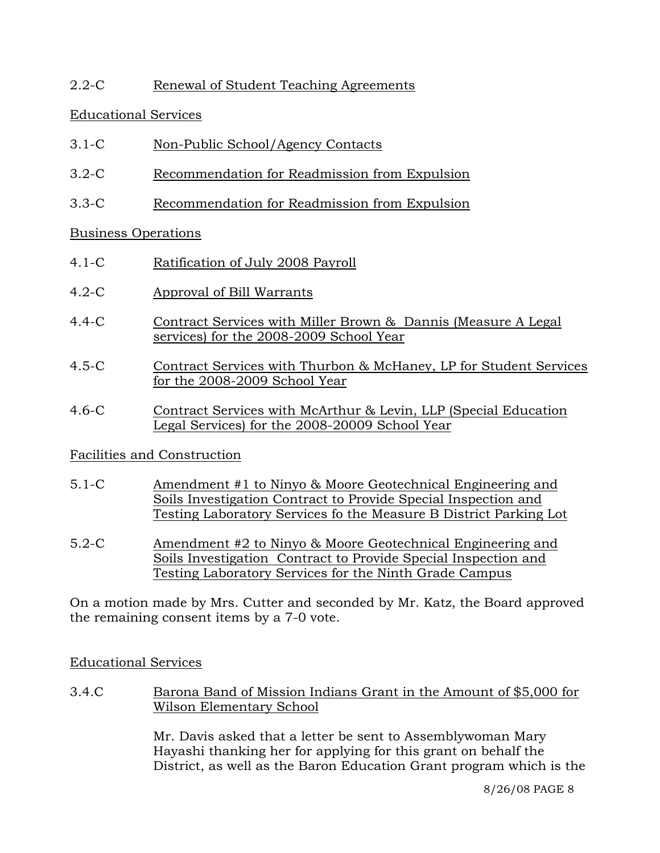# 2.2-C Renewal of Student Teaching Agreements

# Educational Services

- 3.1-C Non-Public School/Agency Contacts
- 3.2-C Recommendation for Readmission from Expulsion
- 3.3-C Recommendation for Readmission from Expulsion

# Business Operations

- 4.1-C Ratification of July 2008 Payroll
- 4.2-C Approval of Bill Warrants
- 4.4-C Contract Services with Miller Brown & Dannis (Measure A Legal services) for the 2008-2009 School Year
- 4.5-C Contract Services with Thurbon & McHaney, LP for Student Services for the 2008-2009 School Year
- 4.6-C Contract Services with McArthur & Levin, LLP (Special Education Legal Services) for the 2008-20009 School Year

# Facilities and Construction

- 5.1-C Amendment #1 to Ninyo & Moore Geotechnical Engineering and Soils Investigation Contract to Provide Special Inspection and Testing Laboratory Services fo the Measure B District Parking Lot
- 5.2-C Amendment #2 to Ninyo & Moore Geotechnical Engineering and Soils Investigation Contract to Provide Special Inspection and Testing Laboratory Services for the Ninth Grade Campus

On a motion made by Mrs. Cutter and seconded by Mr. Katz, the Board approved the remaining consent items by a 7-0 vote.

# Educational Services

3.4.C Barona Band of Mission Indians Grant in the Amount of \$5,000 for Wilson Elementary School

> Mr. Davis asked that a letter be sent to Assemblywoman Mary Hayashi thanking her for applying for this grant on behalf the District, as well as the Baron Education Grant program which is the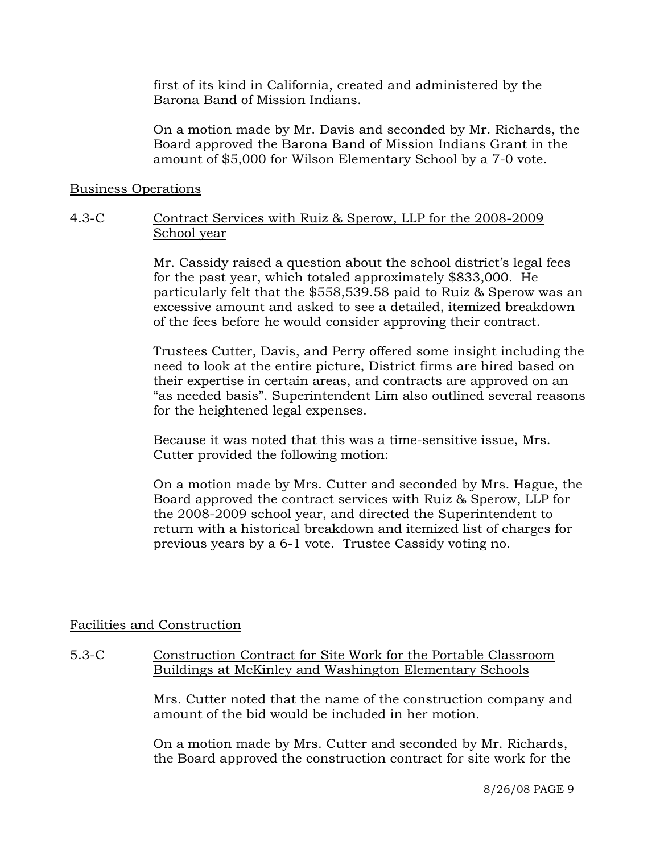first of its kind in California, created and administered by the Barona Band of Mission Indians.

On a motion made by Mr. Davis and seconded by Mr. Richards, the Board approved the Barona Band of Mission Indians Grant in the amount of \$5,000 for Wilson Elementary School by a 7-0 vote.

#### Business Operations

## 4.3-C Contract Services with Ruiz & Sperow, LLP for the 2008-2009 School year

Mr. Cassidy raised a question about the school district's legal fees for the past year, which totaled approximately \$833,000. He particularly felt that the \$558,539.58 paid to Ruiz & Sperow was an excessive amount and asked to see a detailed, itemized breakdown of the fees before he would consider approving their contract.

Trustees Cutter, Davis, and Perry offered some insight including the need to look at the entire picture, District firms are hired based on their expertise in certain areas, and contracts are approved on an "as needed basis". Superintendent Lim also outlined several reasons for the heightened legal expenses.

Because it was noted that this was a time-sensitive issue, Mrs. Cutter provided the following motion:

On a motion made by Mrs. Cutter and seconded by Mrs. Hague, the Board approved the contract services with Ruiz & Sperow, LLP for the 2008-2009 school year, and directed the Superintendent to return with a historical breakdown and itemized list of charges for previous years by a 6-1 vote. Trustee Cassidy voting no.

# Facilities and Construction

# 5.3-C Construction Contract for Site Work for the Portable Classroom Buildings at McKinley and Washington Elementary Schools

Mrs. Cutter noted that the name of the construction company and amount of the bid would be included in her motion.

On a motion made by Mrs. Cutter and seconded by Mr. Richards, the Board approved the construction contract for site work for the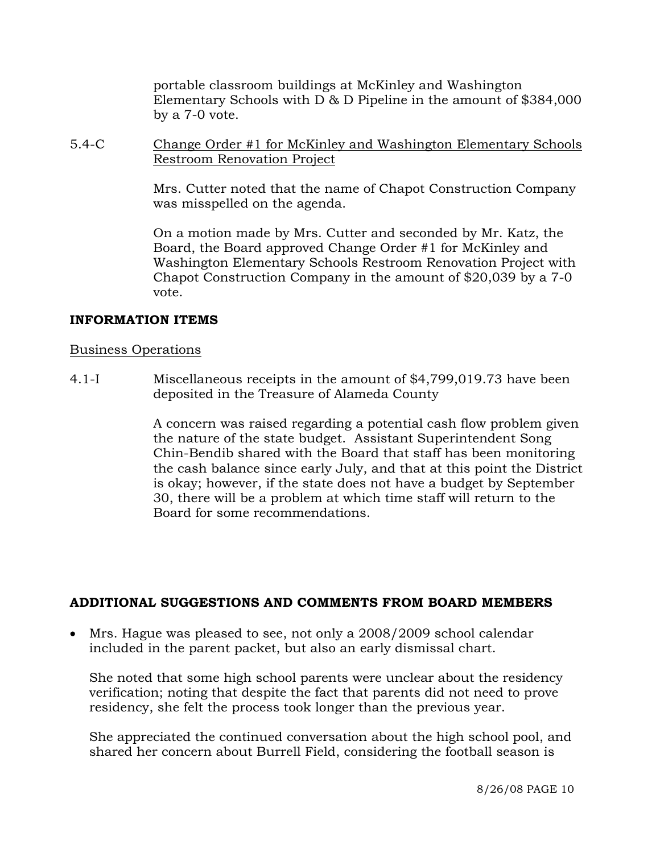portable classroom buildings at McKinley and Washington Elementary Schools with D & D Pipeline in the amount of \$384,000 by a 7-0 vote.

5.4-C Change Order #1 for McKinley and Washington Elementary Schools Restroom Renovation Project

> Mrs. Cutter noted that the name of Chapot Construction Company was misspelled on the agenda.

> On a motion made by Mrs. Cutter and seconded by Mr. Katz, the Board, the Board approved Change Order #1 for McKinley and Washington Elementary Schools Restroom Renovation Project with Chapot Construction Company in the amount of \$20,039 by a 7-0 vote.

# **INFORMATION ITEMS**

# Business Operations

4.1-I Miscellaneous receipts in the amount of \$4,799,019.73 have been deposited in the Treasure of Alameda County

> A concern was raised regarding a potential cash flow problem given the nature of the state budget. Assistant Superintendent Song Chin-Bendib shared with the Board that staff has been monitoring the cash balance since early July, and that at this point the District is okay; however, if the state does not have a budget by September 30, there will be a problem at which time staff will return to the Board for some recommendations.

# **ADDITIONAL SUGGESTIONS AND COMMENTS FROM BOARD MEMBERS**

• Mrs. Hague was pleased to see, not only a 2008/2009 school calendar included in the parent packet, but also an early dismissal chart.

She noted that some high school parents were unclear about the residency verification; noting that despite the fact that parents did not need to prove residency, she felt the process took longer than the previous year.

She appreciated the continued conversation about the high school pool, and shared her concern about Burrell Field, considering the football season is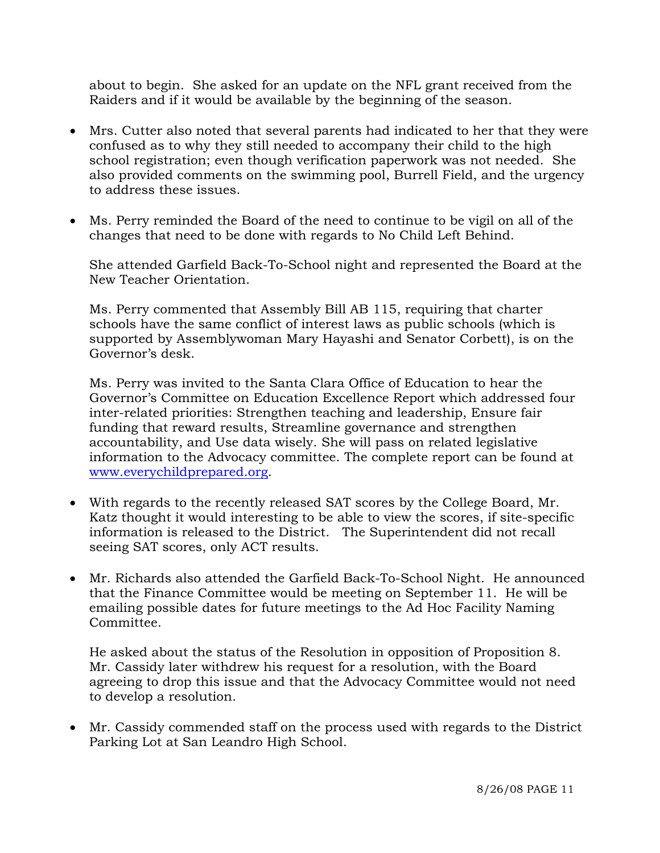about to begin. She asked for an update on the NFL grant received from the Raiders and if it would be available by the beginning of the season.

- Mrs. Cutter also noted that several parents had indicated to her that they were confused as to why they still needed to accompany their child to the high school registration; even though verification paperwork was not needed. She also provided comments on the swimming pool, Burrell Field, and the urgency to address these issues.
- Ms. Perry reminded the Board of the need to continue to be vigil on all of the changes that need to be done with regards to No Child Left Behind.

She attended Garfield Back-To-School night and represented the Board at the New Teacher Orientation.

Ms. Perry commented that Assembly Bill AB 115, requiring that charter schools have the same conflict of interest laws as public schools (which is supported by Assemblywoman Mary Hayashi and Senator Corbett), is on the Governor's desk.

Ms. Perry was invited to the Santa Clara Office of Education to hear the Governor's Committee on Education Excellence Report which addressed four inter-related priorities: Strengthen teaching and leadership, Ensure fair funding that reward results, Streamline governance and strengthen accountability, and Use data wisely. She will pass on related legislative information to the Advocacy committee. The complete report can be found at www.everychildprepared.org.

- With regards to the recently released SAT scores by the College Board, Mr. Katz thought it would interesting to be able to view the scores, if site-specific information is released to the District. The Superintendent did not recall seeing SAT scores, only ACT results.
- Mr. Richards also attended the Garfield Back-To-School Night. He announced that the Finance Committee would be meeting on September 11. He will be emailing possible dates for future meetings to the Ad Hoc Facility Naming Committee.

He asked about the status of the Resolution in opposition of Proposition 8. Mr. Cassidy later withdrew his request for a resolution, with the Board agreeing to drop this issue and that the Advocacy Committee would not need to develop a resolution.

• Mr. Cassidy commended staff on the process used with regards to the District Parking Lot at San Leandro High School.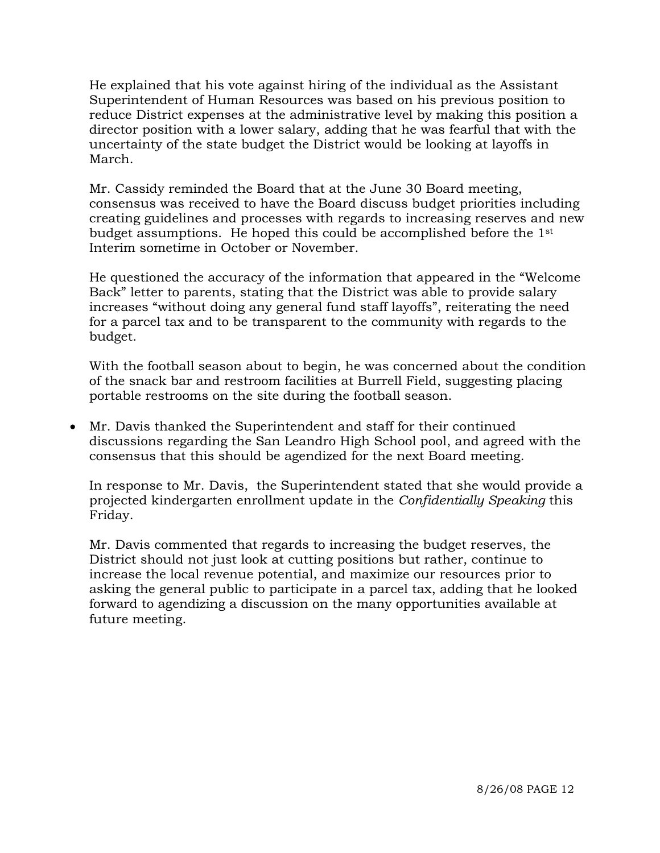He explained that his vote against hiring of the individual as the Assistant Superintendent of Human Resources was based on his previous position to reduce District expenses at the administrative level by making this position a director position with a lower salary, adding that he was fearful that with the uncertainty of the state budget the District would be looking at layoffs in March.

Mr. Cassidy reminded the Board that at the June 30 Board meeting, consensus was received to have the Board discuss budget priorities including creating guidelines and processes with regards to increasing reserves and new budget assumptions. He hoped this could be accomplished before the 1st Interim sometime in October or November.

He questioned the accuracy of the information that appeared in the "Welcome Back" letter to parents, stating that the District was able to provide salary increases "without doing any general fund staff layoffs", reiterating the need for a parcel tax and to be transparent to the community with regards to the budget.

With the football season about to begin, he was concerned about the condition of the snack bar and restroom facilities at Burrell Field, suggesting placing portable restrooms on the site during the football season.

• Mr. Davis thanked the Superintendent and staff for their continued discussions regarding the San Leandro High School pool, and agreed with the consensus that this should be agendized for the next Board meeting.

In response to Mr. Davis, the Superintendent stated that she would provide a projected kindergarten enrollment update in the *Confidentially Speaking* this Friday.

Mr. Davis commented that regards to increasing the budget reserves, the District should not just look at cutting positions but rather, continue to increase the local revenue potential, and maximize our resources prior to asking the general public to participate in a parcel tax, adding that he looked forward to agendizing a discussion on the many opportunities available at future meeting.